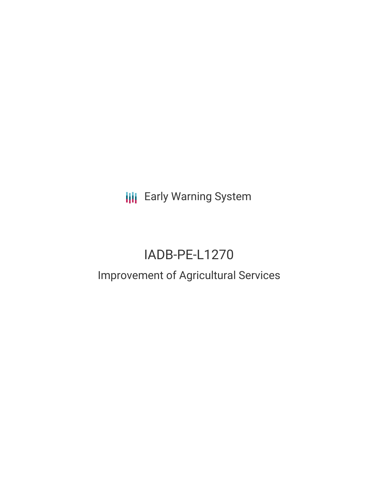# **III** Early Warning System

# IADB-PE-L1270

# Improvement of Agricultural Services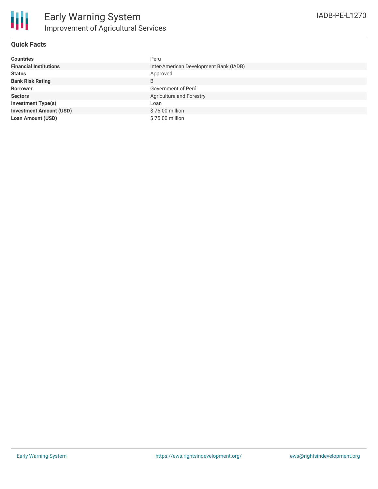### **Quick Facts**

| <b>Countries</b>               | Peru                                   |
|--------------------------------|----------------------------------------|
| <b>Financial Institutions</b>  | Inter-American Development Bank (IADB) |
| <b>Status</b>                  | Approved                               |
| <b>Bank Risk Rating</b>        | B                                      |
| <b>Borrower</b>                | Government of Perú                     |
| <b>Sectors</b>                 | Agriculture and Forestry               |
| <b>Investment Type(s)</b>      | Loan                                   |
| <b>Investment Amount (USD)</b> | \$75.00 million                        |
| <b>Loan Amount (USD)</b>       | \$75.00 million                        |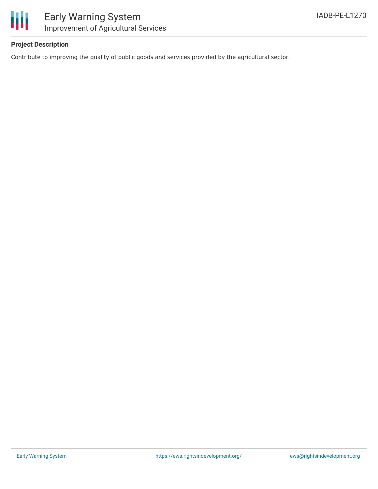

## **Project Description**

Contribute to improving the quality of public goods and services provided by the agricultural sector.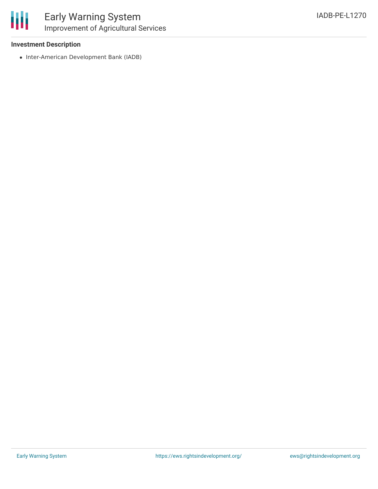

### **Investment Description**

• Inter-American Development Bank (IADB)